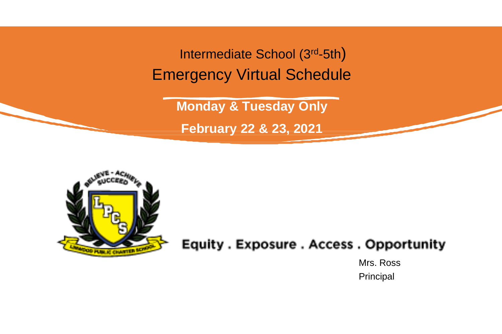Intermediate School (3rd-5th) Emergency Virtual Schedule

**Monday & Tuesday Only**

**February 22 & 23, 2021**



### Equity . Exposure . Access . Opportunity

Mrs. Ross Principal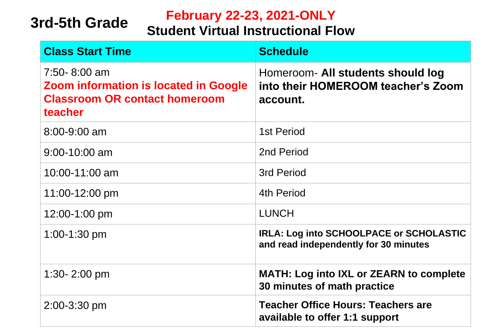## **3rd-5th Grade**

### **February 22-23, 2021-ONLY**

### **Student Virtual Instructional Flow**

| <b>Class Start Time</b>                                                                                         | <b>Schedule</b>                                                                         |
|-----------------------------------------------------------------------------------------------------------------|-----------------------------------------------------------------------------------------|
| 7:50-8:00 am<br><b>Zoom information is located in Google</b><br><b>Classroom OR contact homeroom</b><br>teacher | Homeroom- All students should log<br>into their HOMEROOM teacher's Zoom<br>account.     |
| 8:00-9:00 am                                                                                                    | 1st Period                                                                              |
| $9:00 - 10:00$ am                                                                                               | 2nd Period                                                                              |
| 10:00-11:00 am                                                                                                  | <b>3rd Period</b>                                                                       |
| 11:00-12:00 pm                                                                                                  | <b>4th Period</b>                                                                       |
| 12:00-1:00 pm                                                                                                   | <b>LUNCH</b>                                                                            |
| $1:00-1:30$ pm                                                                                                  | <b>IRLA: Log into SCHOOLPACE or SCHOLASTIC</b><br>and read independently for 30 minutes |
| 1:30- $2:00 \text{ pm}$                                                                                         | <b>MATH: Log into IXL or ZEARN to complete</b><br>30 minutes of math practice           |
| $2:00 - 3:30$ pm                                                                                                | <b>Teacher Office Hours: Teachers are</b><br>available to offer 1:1 support             |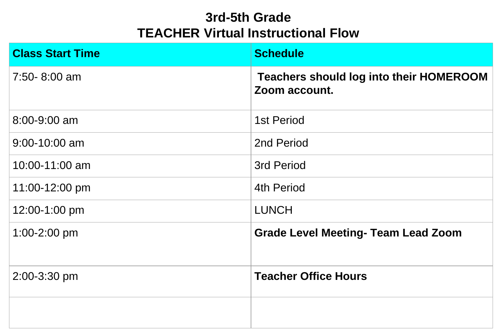### **3rd-5th Grade TEACHER Virtual Instructional Flow**

| <b>Class Start Time</b> | <b>Schedule</b>                                                 |
|-------------------------|-----------------------------------------------------------------|
| $7:50 - 8:00$ am        | <b>Teachers should log into their HOMEROOM</b><br>Zoom account. |
| 8:00-9:00 am            | <b>1st Period</b>                                               |
| $9:00 - 10:00$ am       | 2nd Period                                                      |
| 10:00-11:00 am          | <b>3rd Period</b>                                               |
| 11:00-12:00 pm          | <b>4th Period</b>                                               |
| 12:00-1:00 pm           | <b>LUNCH</b>                                                    |
| $1:00 - 2:00$ pm        | <b>Grade Level Meeting- Team Lead Zoom</b>                      |
| 2:00-3:30 pm            | <b>Teacher Office Hours</b>                                     |
|                         |                                                                 |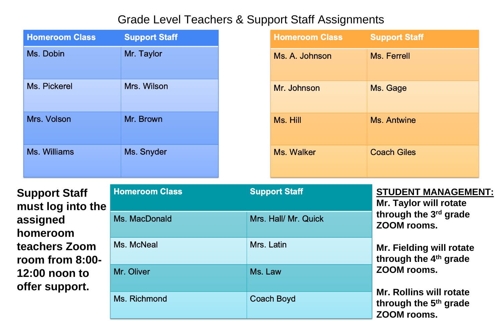#### Grade Level Teachers & Support Staff Assignments

| <b>Homeroom Class</b> | <b>Support Staff</b> |
|-----------------------|----------------------|
| Ms. Dobin             | Mr. Taylor           |
| Ms. Pickerel          | Mrs. Wilson          |
| Mrs. Volson           | Mr. Brown            |
| Ms. Williams          | Ms. Snyder           |

**Support Staff must log into the assigned homeroom teachers Zoom room from 8:00- 12:00 noon to offer support.**

| <b>Homeroom Class</b> | <b>Support Staff</b> | <b>STUDENT MANAGEMENT:</b><br><b>Mr. Taylor will rotate</b>                        |
|-----------------------|----------------------|------------------------------------------------------------------------------------|
| Ms. MacDonald         | Mrs. Hall/ Mr. Quick | through the 3rd grade<br>ZOOM rooms.                                               |
| Ms. McNeal            | Mrs. Latin           | <b>Mr. Fielding will rotate</b><br>through the 4 <sup>th</sup> grade               |
| Mr. Oliver            | Ms. Law              | ZOOM rooms.                                                                        |
| Ms. Richmond          | <b>Coach Boyd</b>    | <b>Mr. Rollins will rotate</b><br>through the 5 <sup>th</sup> grade<br>ZOOM rooms. |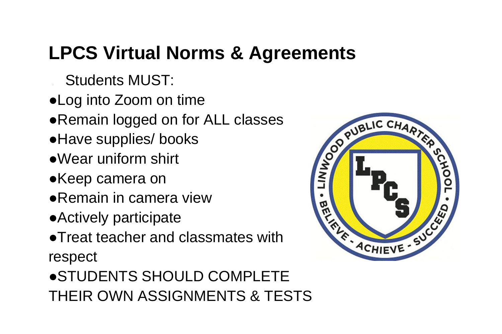# **LPCS Virtual Norms & Agreements**

- Students MUST:
- ●Log into Zoom on time
- Remain logged on for ALL classes
- ●Have supplies/ books
- ●Wear uniform shirt
- ●Keep camera on
- ●Remain in camera view
- ●Actively participate
- ●Treat teacher and classmates with respect
- ●STUDENTS SHOULD COMPLETE THEIR OWN ASSIGNMENTS & TESTS

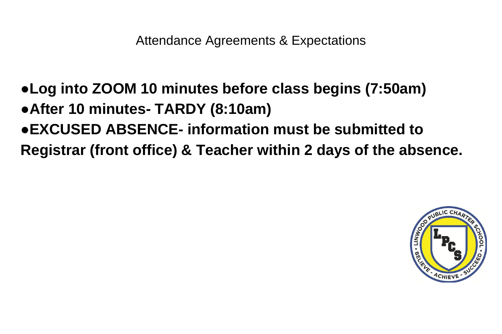Attendance Agreements & Expectations

- ●**Log into ZOOM 10 minutes before class begins (7:50am)**
- ●**After 10 minutes- TARDY (8:10am)**
- ●**EXCUSED ABSENCE- information must be submitted to**
- **Registrar (front office) & Teacher within 2 days of the absence.**

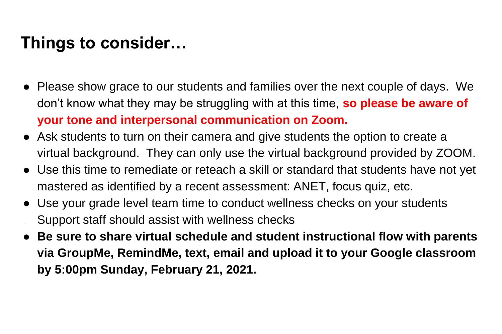## **Things to consider…**

- Please show grace to our students and families over the next couple of days. We don't know what they may be struggling with at this time, **so please be aware of your tone and interpersonal communication on Zoom.**
- Ask students to turn on their camera and give students the option to create a virtual background. They can only use the virtual background provided by ZOOM.
- Use this time to remediate or reteach a skill or standard that students have not yet mastered as identified by a recent assessment: ANET, focus quiz, etc.
- Use your grade level team time to conduct wellness checks on your students Support staff should assist with wellness checks
- **Be sure to share virtual schedule and student instructional flow with parents via GroupMe, RemindMe, text, email and upload it to your Google classroom by 5:00pm Sunday, February 21, 2021.**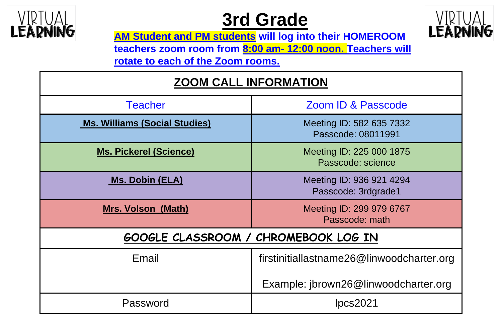

## **3rd Grade**



**AM Student and PM students will log into their HOMEROOM teachers zoom room from 8:00 am- 12:00 noon. Teachers will rotate to each of the Zoom rooms.**

| <b>ZOOM CALL INFORMATION</b>         |                                                 |  |
|--------------------------------------|-------------------------------------------------|--|
| <b>Teacher</b>                       | <b>Zoom ID &amp; Passcode</b>                   |  |
| <b>Ms. Williams (Social Studies)</b> | Meeting ID: 582 635 7332<br>Passcode: 08011991  |  |
| <b>Ms. Pickerel (Science)</b>        | Meeting ID: 225 000 1875<br>Passcode: science   |  |
| <b>Ms. Dobin (ELA)</b>               | Meeting ID: 936 921 4294<br>Passcode: 3rdgrade1 |  |
| <b>Mrs. Volson (Math)</b>            | Meeting ID: 299 979 6767<br>Passcode: math      |  |
| GOOGLE CLASSROOM / CHROMEBOOK LOG IN |                                                 |  |
| Email                                | firstinitiallastname26@linwoodcharter.org       |  |
|                                      | Example: jbrown26@linwoodcharter.org            |  |
| Password                             | pcs2021                                         |  |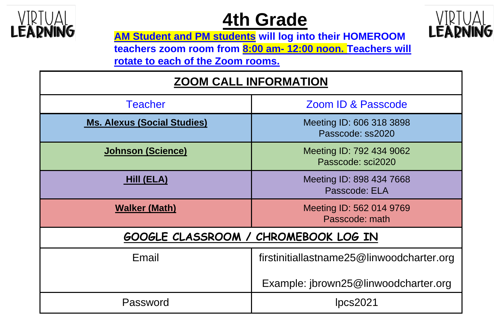

## **4th Grade**



**AM Student and PM students will log into their HOMEROOM teachers zoom room from 8:00 am- 12:00 noon. Teachers will rotate to each of the Zoom rooms.**

| <b>ZOOM CALL INFORMATION</b>                |                                               |  |
|---------------------------------------------|-----------------------------------------------|--|
| <b>Teacher</b>                              | <b>Zoom ID &amp; Passcode</b>                 |  |
| <b>Ms. Alexus (Social Studies)</b>          | Meeting ID: 606 318 3898<br>Passcode: ss2020  |  |
| <b>Johnson (Science)</b>                    | Meeting ID: 792 434 9062<br>Passcode: sci2020 |  |
| <b>Hill (ELA)</b>                           | Meeting ID: 898 434 7668<br>Passcode: ELA     |  |
| <b>Walker (Math)</b>                        | Meeting ID: 562 014 9769<br>Passcode: math    |  |
| <b>GOOGLE CLASSROOM / CHROMEBOOK LOG IN</b> |                                               |  |
| Email                                       | firstinitiallastname25@linwoodcharter.org     |  |
|                                             | Example: jbrown25@linwoodcharter.org          |  |
| Password                                    | Ipcs2021                                      |  |